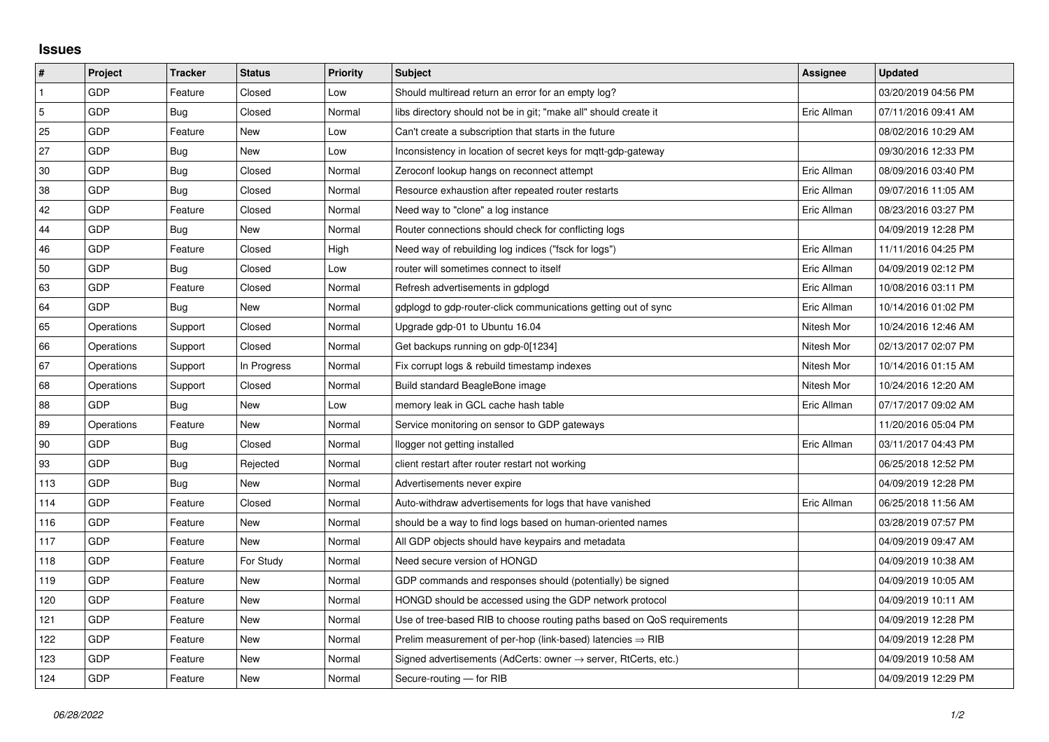## **Issues**

| $\vert$ #      | Project    | <b>Tracker</b> | <b>Status</b> | <b>Priority</b> | <b>Subject</b>                                                             | Assignee    | <b>Updated</b>      |
|----------------|------------|----------------|---------------|-----------------|----------------------------------------------------------------------------|-------------|---------------------|
| $\mathbf{1}$   | GDP        | Feature        | Closed        | Low             | Should multiread return an error for an empty log?                         |             | 03/20/2019 04:56 PM |
| $\overline{5}$ | GDP        | Bug            | Closed        | Normal          | libs directory should not be in git; "make all" should create it           | Eric Allman | 07/11/2016 09:41 AM |
| 25             | GDP        | Feature        | New           | Low             | Can't create a subscription that starts in the future                      |             | 08/02/2016 10:29 AM |
| 27             | GDP        | Bug            | New           | Low             | Inconsistency in location of secret keys for mgtt-gdp-gateway              |             | 09/30/2016 12:33 PM |
| 30             | GDP        | Bug            | Closed        | Normal          | Zeroconf lookup hangs on reconnect attempt                                 | Eric Allman | 08/09/2016 03:40 PM |
| 38             | GDP        | Bug            | Closed        | Normal          | Resource exhaustion after repeated router restarts                         | Eric Allman | 09/07/2016 11:05 AM |
| 42             | GDP        | Feature        | Closed        | Normal          | Need way to "clone" a log instance                                         | Eric Allman | 08/23/2016 03:27 PM |
| 44             | GDP        | Bug            | New           | Normal          | Router connections should check for conflicting logs                       |             | 04/09/2019 12:28 PM |
| 46             | GDP        | Feature        | Closed        | High            | Need way of rebuilding log indices ("fsck for logs")                       | Eric Allman | 11/11/2016 04:25 PM |
| 50             | GDP        | Bug            | Closed        | Low             | router will sometimes connect to itself                                    | Eric Allman | 04/09/2019 02:12 PM |
| 63             | GDP        | Feature        | Closed        | Normal          | Refresh advertisements in gdplogd                                          | Eric Allman | 10/08/2016 03:11 PM |
| 64             | GDP        | Bug            | New           | Normal          | gdplogd to gdp-router-click communications getting out of sync             | Eric Allman | 10/14/2016 01:02 PM |
| 65             | Operations | Support        | Closed        | Normal          | Upgrade gdp-01 to Ubuntu 16.04                                             | Nitesh Mor  | 10/24/2016 12:46 AM |
| 66             | Operations | Support        | Closed        | Normal          | Get backups running on gdp-0[1234]                                         | Nitesh Mor  | 02/13/2017 02:07 PM |
| 67             | Operations | Support        | In Progress   | Normal          | Fix corrupt logs & rebuild timestamp indexes                               | Nitesh Mor  | 10/14/2016 01:15 AM |
| 68             | Operations | Support        | Closed        | Normal          | Build standard BeagleBone image                                            | Nitesh Mor  | 10/24/2016 12:20 AM |
| 88             | GDP        | Bug            | New           | Low             | memory leak in GCL cache hash table                                        | Eric Allman | 07/17/2017 09:02 AM |
| 89             | Operations | Feature        | New           | Normal          | Service monitoring on sensor to GDP gateways                               |             | 11/20/2016 05:04 PM |
| 90             | GDP        | Bug            | Closed        | Normal          | llogger not getting installed                                              | Eric Allman | 03/11/2017 04:43 PM |
| 93             | GDP        | Bug            | Rejected      | Normal          | client restart after router restart not working                            |             | 06/25/2018 12:52 PM |
| 113            | GDP        | Bug            | New           | Normal          | Advertisements never expire                                                |             | 04/09/2019 12:28 PM |
| 114            | GDP        | Feature        | Closed        | Normal          | Auto-withdraw advertisements for logs that have vanished                   | Eric Allman | 06/25/2018 11:56 AM |
| 116            | GDP        | Feature        | New           | Normal          | should be a way to find logs based on human-oriented names                 |             | 03/28/2019 07:57 PM |
| 117            | GDP        | Feature        | New           | Normal          | All GDP objects should have keypairs and metadata                          |             | 04/09/2019 09:47 AM |
| 118            | GDP        | Feature        | For Study     | Normal          | Need secure version of HONGD                                               |             | 04/09/2019 10:38 AM |
| 119            | GDP        | Feature        | New           | Normal          | GDP commands and responses should (potentially) be signed                  |             | 04/09/2019 10:05 AM |
| 120            | GDP        | Feature        | New           | Normal          | HONGD should be accessed using the GDP network protocol                    |             | 04/09/2019 10:11 AM |
| 121            | GDP        | Feature        | New           | Normal          | Use of tree-based RIB to choose routing paths based on QoS requirements    |             | 04/09/2019 12:28 PM |
| 122            | GDP        | Feature        | New           | Normal          | Prelim measurement of per-hop (link-based) latencies $\Rightarrow$ RIB     |             | 04/09/2019 12:28 PM |
| 123            | GDP        | Feature        | New           | Normal          | Signed advertisements (AdCerts: owner $\rightarrow$ server, RtCerts, etc.) |             | 04/09/2019 10:58 AM |
| 124            | GDP        | Feature        | <b>New</b>    | Normal          | Secure-routing - for RIB                                                   |             | 04/09/2019 12:29 PM |